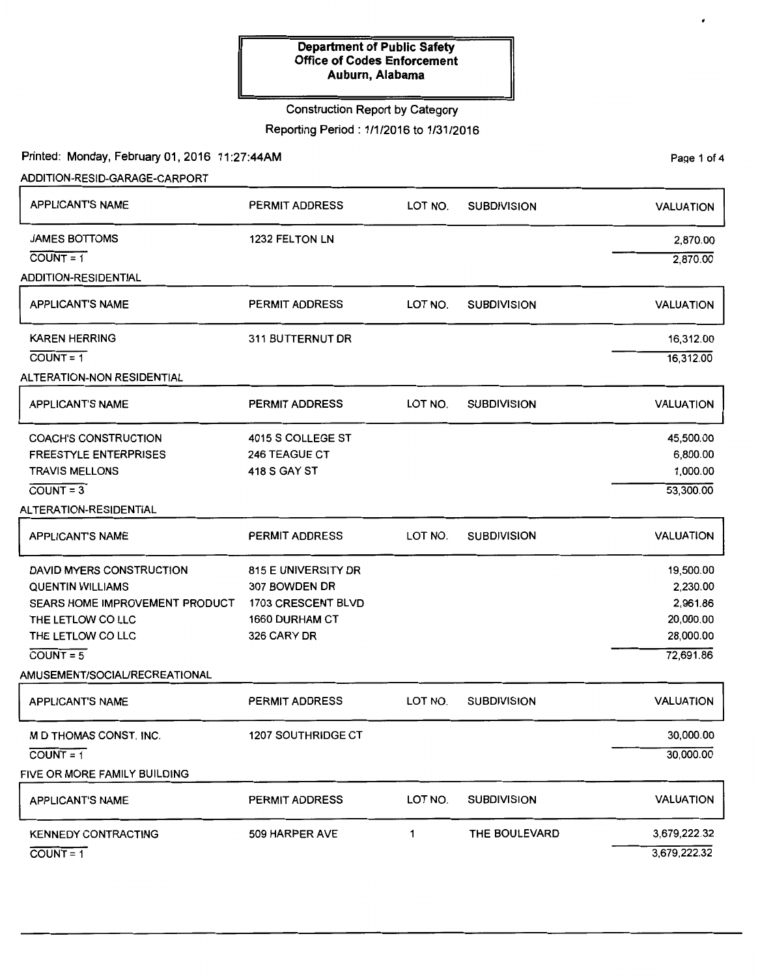# Construction Report by Category

Reporting Period: 1/1/2016 to 1/31/2016

Printed: Monday, February 01, 2016 11:27:44AM

ADDITION-RESID-GARAGE-CARPORT

| <b>APPLICANT'S NAME</b>           | PERMIT ADDRESS            | LOT NO. | <b>SUBDIVISION</b> | <b>VALUATION</b> |
|-----------------------------------|---------------------------|---------|--------------------|------------------|
| <b>JAMES BOTTOMS</b>              | 1232 FELTON LN            |         |                    | 2,870.00         |
| $COUNT = 1$                       |                           |         |                    | 2,870.00         |
| <b>ADDITION-RESIDENTIAL</b>       |                           |         |                    |                  |
| <b>APPLICANT'S NAME</b>           | PERMIT ADDRESS            | LOT NO. | <b>SUBDIVISION</b> | <b>VALUATION</b> |
| <b>KAREN HERRING</b>              | 311 BUTTERNUT DR          |         |                    | 16,312.00        |
| $COUNT = 1$                       |                           |         |                    | 16,312.00        |
| <b>ALTERATION-NON RESIDENTIAL</b> |                           |         |                    |                  |
| <b>APPLICANT'S NAME</b>           | <b>PERMIT ADDRESS</b>     | LOT NO. | <b>SUBDIVISION</b> | <b>VALUATION</b> |
| <b>COACH'S CONSTRUCTION</b>       | 4015 S COLLEGE ST         |         |                    | 45,500.00        |
| <b>FREESTYLE ENTERPRISES</b>      | <b>246 TEAGUE CT</b>      |         |                    | 6,800.00         |
| <b>TRAVIS MELLONS</b>             | 418 S GAY ST              |         |                    | 1,000.00         |
| $COUNT = 3$                       |                           |         |                    | 53,300.00        |
| ALTERATION-RESIDENTIAL            |                           |         |                    |                  |
| <b>APPLICANT'S NAME</b>           | PERMIT ADDRESS            | LOT NO. | <b>SUBDIVISION</b> | <b>VALUATION</b> |
| DAVID MYERS CONSTRUCTION          | 815 E UNIVERSITY DR       |         |                    | 19,500.00        |
| <b>QUENTIN WILLIAMS</b>           | 307 BOWDEN DR             |         |                    | 2,230.00         |
| SEARS HOME IMPROVEMENT PRODUCT    | 1703 CRESCENT BLVD        |         |                    | 2,961.86         |
| THE LETLOW CO LLC                 | <b>1660 DURHAM CT</b>     |         |                    | 20,000.00        |
| THE LETLOW CO LLC                 | 326 CARY DR               |         |                    | 28,000.00        |
| $COUNT = 5$                       |                           |         |                    | 72,691.86        |
| AMUSEMENT/SOCIAL/RECREATIONAL     |                           |         |                    |                  |
| <b>APPLICANT'S NAME</b>           | <b>PERMIT ADDRESS</b>     | LOT NO. | <b>SUBDIVISION</b> | <b>VALUATION</b> |
| M D THOMAS CONST. INC.            | <b>1207 SOUTHRIDGE CT</b> |         |                    | 30,000.00        |
| $COUNT = 1$                       |                           |         |                    | 30,000.00        |
| FIVE OR MORE FAMILY BUILDING      |                           |         |                    |                  |
| <b>APPLICANT'S NAME</b>           | PERMIT ADDRESS            | LOT NO. | <b>SUBDIVISION</b> | <b>VALUATION</b> |
| <b>KENNEDY CONTRACTING</b>        | 509 HARPER AVE            | 1       | THE BOULEVARD      | 3,679,222.32     |
| $COUNT = 1$                       |                           |         |                    | 3,679,222.32     |

Page 1 of 4

 $\bullet$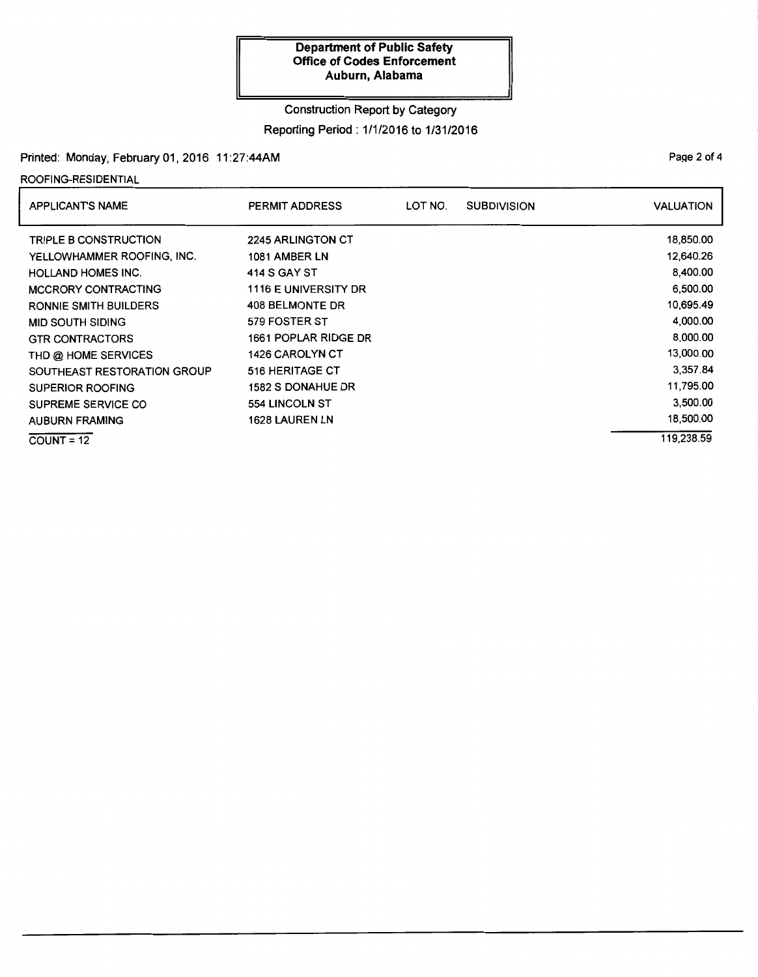### Construction Report by Category

Reporting Period: 1/1/2016 to 1/31/2016

## Printed: Monday, February 01, 2016 11:27:44AM

ROOFING-RESIDENTIAL

| APPLICANT'S NAME             | <b>PERMIT ADDRESS</b>    | LOT NO. | <b>SUBDIVISION</b> | <b>VALUATION</b> |
|------------------------------|--------------------------|---------|--------------------|------------------|
| <b>TRIPLE B CONSTRUCTION</b> | 2245 ARLINGTON CT        |         |                    | 18,850.00        |
| YELLOWHAMMER ROOFING, INC.   | 1081 AMBER LN            |         |                    | 12,640.26        |
| <b>HOLLAND HOMES INC.</b>    | 414 S GAY ST             |         |                    | 8,400.00         |
| <b>MCCRORY CONTRACTING</b>   | 1116 E UNIVERSITY DR     |         |                    | 6,500.00         |
| <b>RONNIE SMITH BUILDERS</b> | 408 BELMONTE DR          |         |                    | 10,695.49        |
| <b>MID SOUTH SIDING</b>      | 579 FOSTER ST            |         |                    | 4,000.00         |
| <b>GTR CONTRACTORS</b>       | 1661 POPLAR RIDGE DR     |         |                    | 8,000.00         |
| THD @ HOME SERVICES          | <b>1426 CAROLYN CT</b>   |         |                    | 13,000.00        |
| SOUTHEAST RESTORATION GROUP  | 516 HERITAGE CT          |         |                    | 3,357.84         |
| SUPERIOR ROOFING             | <b>1582 S DONAHUE DR</b> |         |                    | 11,795.00        |
| SUPREME SERVICE CO           | <b>554 LINCOLN ST</b>    |         |                    | 3,500.00         |
| <b>AUBURN FRAMING</b>        | <b>1628 LAUREN LN</b>    |         |                    | 18,500.00        |
| $COUNT = 12$                 |                          |         |                    | 119,238.59       |

Page 2 of 4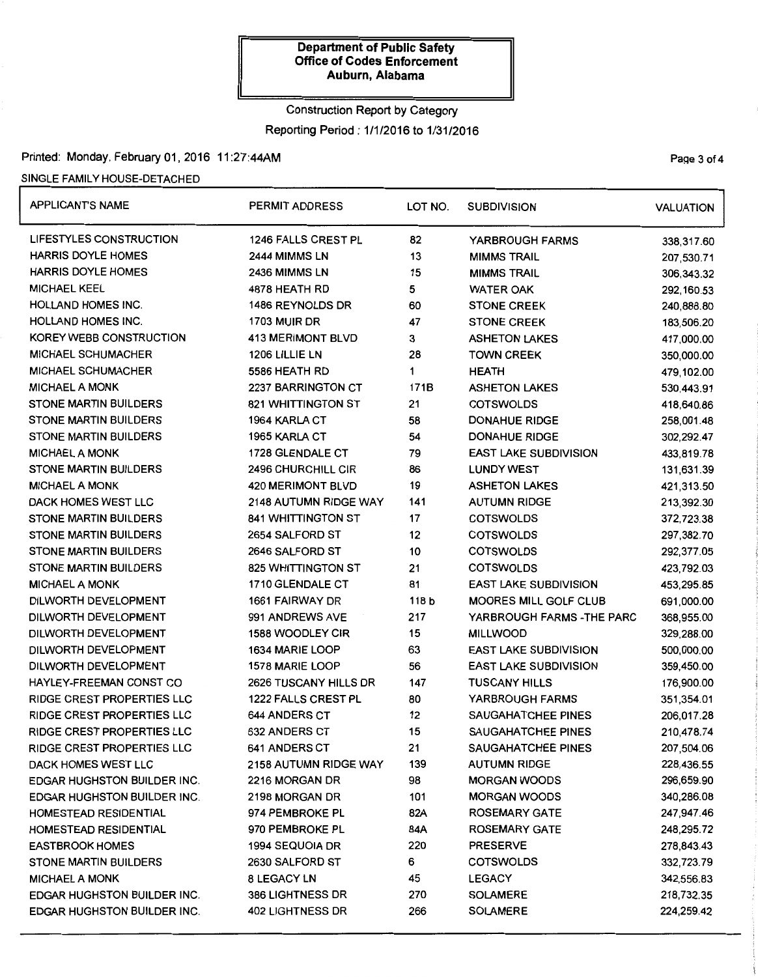# Construction Report by Category Reporting Period : 1/1/2016 to 1/31/2016

# Printed: Monday, February 01, 2016 11:27:44AM Page 3 of 4

### SINGLE FAMILY HOUSE-DETACHED

| <b>APPLICANT'S NAME</b>            | <b>PERMIT ADDRESS</b>     | LOT NO. | <b>SUBDIVISION</b>           | <b>VALUATION</b> |
|------------------------------------|---------------------------|---------|------------------------------|------------------|
| LIFESTYLES CONSTRUCTION            | 1246 FALLS CREST PL       | 82      | YARBROUGH FARMS              | 338,317.60       |
| <b>HARRIS DOYLE HOMES</b>          | 2444 MIMMS LN             | 13      | <b>MIMMS TRAIL</b>           | 207,530.71       |
| <b>HARRIS DOYLE HOMES</b>          | 2436 MIMMS LN             | 15      | <b>MIMMS TRAIL</b>           | 306,343.32       |
| <b>MICHAEL KEEL</b>                | 4878 HEATH RD             | 5       | <b>WATER OAK</b>             | 292,160.53       |
| <b>HOLLAND HOMES INC.</b>          | 1486 REYNOLDS DR          | 60      | <b>STONE CREEK</b>           | 240,888.80       |
| <b>HOLLAND HOMES INC.</b>          | <b>1703 MUIR DR</b>       | 47      | <b>STONE CREEK</b>           | 183,506.20       |
| KOREY WEBB CONSTRUCTION            | <b>413 MERIMONT BLVD</b>  | 3       | <b>ASHETON LAKES</b>         | 417,000.00       |
| MICHAEL SCHUMACHER                 | 1206 LILLIE LN            | 28      | <b>TOWN CREEK</b>            | 350,000.00       |
| <b>MICHAEL SCHUMACHER</b>          | 5586 HEATH RD             | 1       | <b>HEATH</b>                 | 479,102.00       |
| <b>MICHAEL A MONK</b>              | 2237 BARRINGTON CT        | 171B    | <b>ASHETON LAKES</b>         | 530,443.91       |
| <b>STONE MARTIN BUILDERS</b>       | 821 WHITTINGTON ST        | 21      | <b>COTSWOLDS</b>             | 418,640.86       |
| <b>STONE MARTIN BUILDERS</b>       | 1964 KARLA CT             | 58      | <b>DONAHUE RIDGE</b>         | 258,001.48       |
| <b>STONE MARTIN BUILDERS</b>       | 1965 KARLA CT             | 54      | <b>DONAHUE RIDGE</b>         | 302,292.47       |
| <b>MICHAEL A MONK</b>              | 1728 GLENDALE CT          | 79      | <b>EAST LAKE SUBDIVISION</b> | 433,819.78       |
| <b>STONE MARTIN BUILDERS</b>       | 2496 CHURCHILL CIR        | 86      | <b>LUNDY WEST</b>            | 131,631.39       |
| <b>MICHAEL A MONK</b>              | <b>420 MERIMONT BLVD</b>  | 19      | <b>ASHETON LAKES</b>         | 421,313.50       |
| DACK HOMES WEST LLC                | 2148 AUTUMN RIDGE WAY     | 141     | <b>AUTUMN RIDGE</b>          | 213,392.30       |
| <b>STONE MARTIN BUILDERS</b>       | <b>841 WHITTINGTON ST</b> | 17      | <b>COTSWOLDS</b>             | 372,723.38       |
| <b>STONE MARTIN BUILDERS</b>       | 2654 SALFORD ST           | 12      | <b>COTSWOLDS</b>             | 297,382.70       |
| <b>STONE MARTIN BUILDERS</b>       | 2646 SALFORD ST           | 10      | <b>COTSWOLDS</b>             | 292,377.05       |
| <b>STONE MARTIN BUILDERS</b>       | <b>825 WHITTINGTON ST</b> | 21      | <b>COTSWOLDS</b>             | 423,792.03       |
| <b>MICHAEL A MONK</b>              | 1710 GLENDALE CT          | 81      | <b>EAST LAKE SUBDIVISION</b> | 453,295.85       |
| DILWORTH DEVELOPMENT               | 1661 FAIRWAY DR           | 118 b   | <b>MOORES MILL GOLF CLUB</b> | 691,000.00       |
| DILWORTH DEVELOPMENT               | 991 ANDREWS AVE           | 217     | YARBROUGH FARMS - THE PARC   | 368,955.00       |
| DILWORTH DEVELOPMENT               | 1588 WOODLEY CIR          | 15      | <b>MILLWOOD</b>              | 329,288.00       |
| DILWORTH DEVELOPMENT               | 1634 MARIE LOOP           | 63      | <b>EAST LAKE SUBDIVISION</b> | 500,000.00       |
| DILWORTH DEVELOPMENT               | 1578 MARIE LOOP           | 56      | <b>EAST LAKE SUBDIVISION</b> | 359,450.00       |
| HAYLEY-FREEMAN CONST CO            | 2626 TUSCANY HILLS DR     | 147     | <b>TUSCANY HILLS</b>         | 176,900.00       |
| <b>RIDGE CREST PROPERTIES LLC</b>  | 1222 FALLS CREST PL       | 80      | YARBROUGH FARMS              | 351,354.01       |
| RIDGE CREST PROPERTIES LLC         | <b>644 ANDERS CT</b>      | 12      | <b>SAUGAHATCHEE PINES</b>    | 206,017.28       |
| <b>RIDGE CREST PROPERTIES LLC</b>  | <b>632 ANDERS CT</b>      | 15      | <b>SAUGAHATCHEE PINES</b>    | 210,478.74       |
| <b>RIDGE CREST PROPERTIES LLC</b>  | <b>641 ANDERS CT</b>      | 21      | SAUGAHATCHEE PINES           | 207,504.06       |
| DACK HOMES WEST LLC                | 2158 AUTUMN RIDGE WAY     | 139     | <b>AUTUMN RIDGE</b>          | 228,436.55       |
| <b>EDGAR HUGHSTON BUILDER INC.</b> | 2216 MORGAN DR            | 98      | <b>MORGAN WOODS</b>          | 296,659.90       |
| <b>EDGAR HUGHSTON BUILDER INC.</b> | 2198 MORGAN DR            | 101     | <b>MORGAN WOODS</b>          | 340,286.08       |
| HOMESTEAD RESIDENTIAL              | 974 PEMBROKE PL           | 82A     | <b>ROSEMARY GATE</b>         | 247,947.46       |
| HOMESTEAD RESIDENTIAL              | 970 PEMBROKE PL           | 84A     | <b>ROSEMARY GATE</b>         | 248,295.72       |
| <b>EASTBROOK HOMES</b>             | 1994 SEQUOIA DR           | 220     | <b>PRESERVE</b>              | 278,843.43       |
| <b>STONE MARTIN BUILDERS</b>       | 2630 SALFORD ST           | 6       | <b>COTSWOLDS</b>             | 332,723.79       |
| <b>MICHAEL A MONK</b>              | 8 LEGACY LN               | 45      | <b>LEGACY</b>                | 342,556.83       |
| EDGAR HUGHSTON BUILDER INC.        | 386 LIGHTNESS DR          | 270     | <b>SOLAMERE</b>              | 218,732.35       |
| <b>EDGAR HUGHSTON BUILDER INC.</b> | <b>402 LIGHTNESS DR</b>   | 266     | <b>SOLAMERE</b>              | 224,259.42       |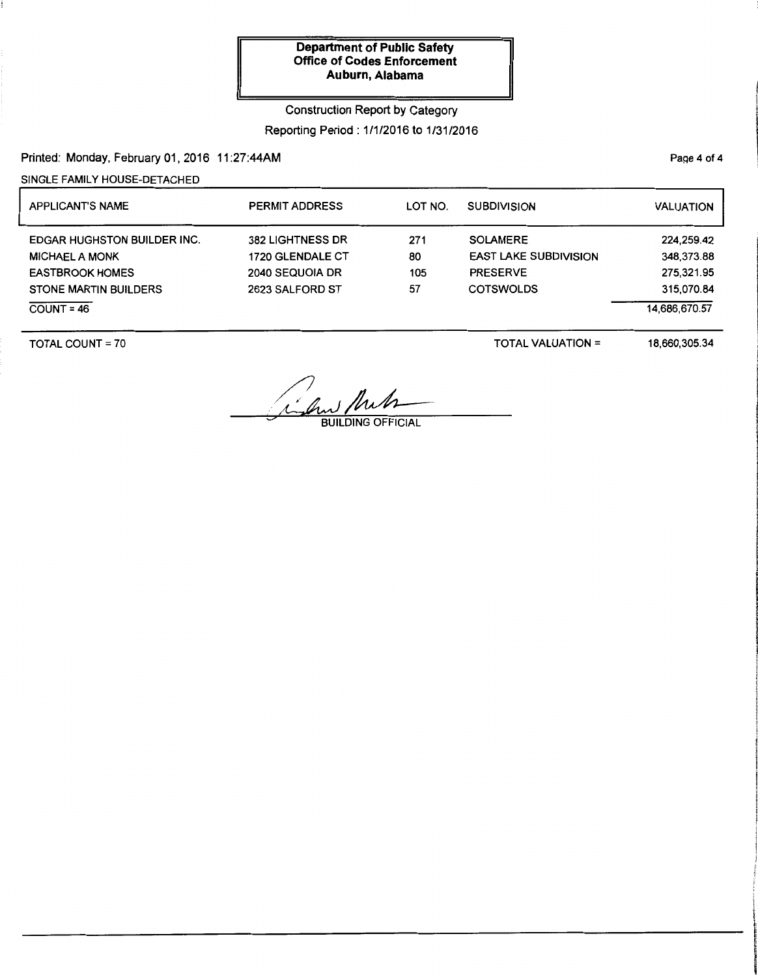# Construction Report by Category Reporting Period: 1/1/2016 to 1/31/2016

Printed: Monday, February 01, 2016 11:27:44AM

SINGLE FAMILY HOUSE-DETACHED

| <b>APPLICANT'S NAME</b>            | <b>PERMIT ADDRESS</b>   | LOT NO. | <b>SUBDIVISION</b>           | <b>VALUATION</b> |
|------------------------------------|-------------------------|---------|------------------------------|------------------|
| <b>EDGAR HUGHSTON BUILDER INC.</b> | <b>382 LIGHTNESS DR</b> | 271     | <b>SOLAMERE</b>              | 224,259.42       |
| <b>MICHAEL A MONK</b>              | 1720 GLENDALE CT        | 80      | <b>EAST LAKE SUBDIVISION</b> | 348,373.88       |
| <b>EASTBROOK HOMES</b>             | 2040 SEQUOIA DR         | 105     | <b>PRESERVE</b>              | 275,321.95       |
| <b>STONE MARTIN BUILDERS</b>       | 2623 SALFORD ST         | 57      | <b>COTSWOLDS</b>             | 315.070.84       |
| $COUNT = 46$                       |                         |         |                              | 14.686.670.57    |

TOTAL COUNT= 70

TOTAL VALUATION=

18,660,305.34

and Muh

Page 4 of 4

**Johnson When they're they're**